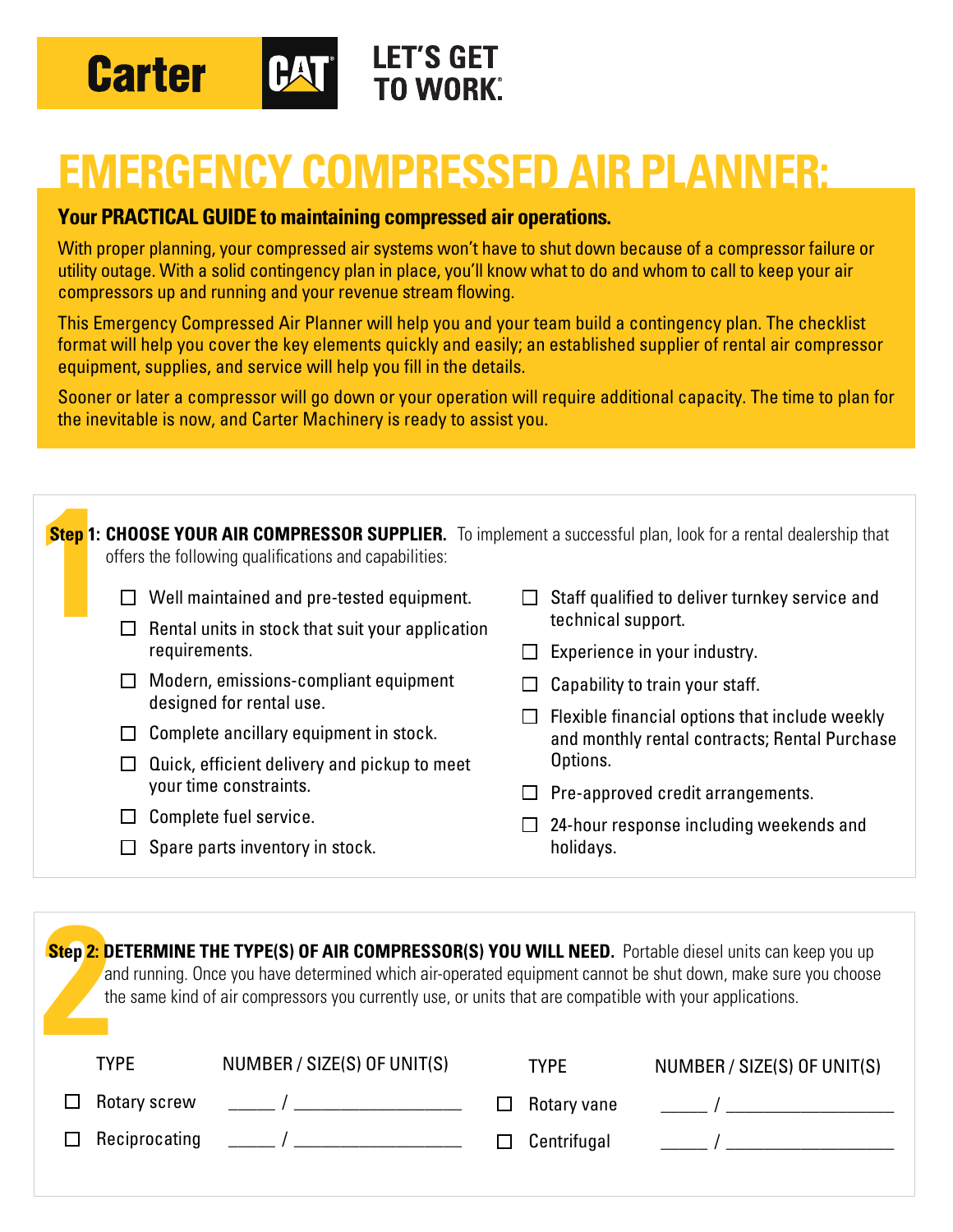

## **EMERGENCY COMPRESSED AIR PLANNER:**

## **Your PRACTICAL GUIDE to maintaining compressed air operations.**

With proper planning, your compressed air systems won't have to shut down because of a compressor failure or utility outage. With a solid contingency plan in place, you'll know what to do and whom to call to keep your air compressors up and running and your revenue stream flowing.

This Emergency Compressed Air Planner will help you and your team build a contingency plan. The checklist format will help you cover the key elements quickly and easily; an established supplier of rental air compressor equipment, supplies, and service will help you fill in the details.

Sooner or later a compressor will go down or your operation will require additional capacity. The time to plan for the inevitable is now, and Carter Machinery is ready to assist you.

| <b>Step 1: CHOOSE YOUR AIR COMPRESSOR SUPPLIER.</b> To implement a successful plan, look for a rental dealership that<br>offers the following qualifications and capabilities: |              |                                                                        |  |                                                                                                             |  |  |  |
|--------------------------------------------------------------------------------------------------------------------------------------------------------------------------------|--------------|------------------------------------------------------------------------|--|-------------------------------------------------------------------------------------------------------------|--|--|--|
|                                                                                                                                                                                | $\Box$       | Well maintained and pre-tested equipment.                              |  | Staff qualified to deliver turnkey service and                                                              |  |  |  |
|                                                                                                                                                                                | $\mathbf{L}$ | Rental units in stock that suit your application                       |  | technical support.                                                                                          |  |  |  |
|                                                                                                                                                                                |              | requirements.                                                          |  | Experience in your industry.                                                                                |  |  |  |
|                                                                                                                                                                                |              | Modern, emissions-compliant equipment                                  |  | Capability to train your staff.                                                                             |  |  |  |
|                                                                                                                                                                                |              | designed for rental use.                                               |  | Flexible financial options that include weekly<br>and monthly rental contracts; Rental Purchase<br>Options. |  |  |  |
|                                                                                                                                                                                |              | Complete ancillary equipment in stock.                                 |  |                                                                                                             |  |  |  |
|                                                                                                                                                                                |              | Quick, efficient delivery and pickup to meet<br>your time constraints. |  |                                                                                                             |  |  |  |
|                                                                                                                                                                                |              |                                                                        |  | Pre-approved credit arrangements.                                                                           |  |  |  |
|                                                                                                                                                                                |              | Complete fuel service.                                                 |  | 24-hour response including weekends and                                                                     |  |  |  |
|                                                                                                                                                                                |              | Spare parts inventory in stock.                                        |  | holidays.                                                                                                   |  |  |  |

| Step 2: DETERMINE THE TYPE(S) OF AIR COMPRESSOR(S) YOU WILL NEED. Portable diesel units can keep you up<br>and running. Once you have determined which air-operated equipment cannot be shut down, make sure you choose<br>the same kind of air compressors you currently use, or units that are compatible with your applications. |                             |             |                             |  |  |  |  |
|-------------------------------------------------------------------------------------------------------------------------------------------------------------------------------------------------------------------------------------------------------------------------------------------------------------------------------------|-----------------------------|-------------|-----------------------------|--|--|--|--|
| <b>TYPE</b>                                                                                                                                                                                                                                                                                                                         | NUMBER / SIZE(S) OF UNIT(S) | <b>TYPE</b> | NUMBER / SIZE(S) OF UNIT(S) |  |  |  |  |
| Rotary screw                                                                                                                                                                                                                                                                                                                        | $\overline{a}$              | Rotary vane | $\overline{1}$              |  |  |  |  |
| Reciprocating                                                                                                                                                                                                                                                                                                                       | $\overline{a}$              | Centrifugal |                             |  |  |  |  |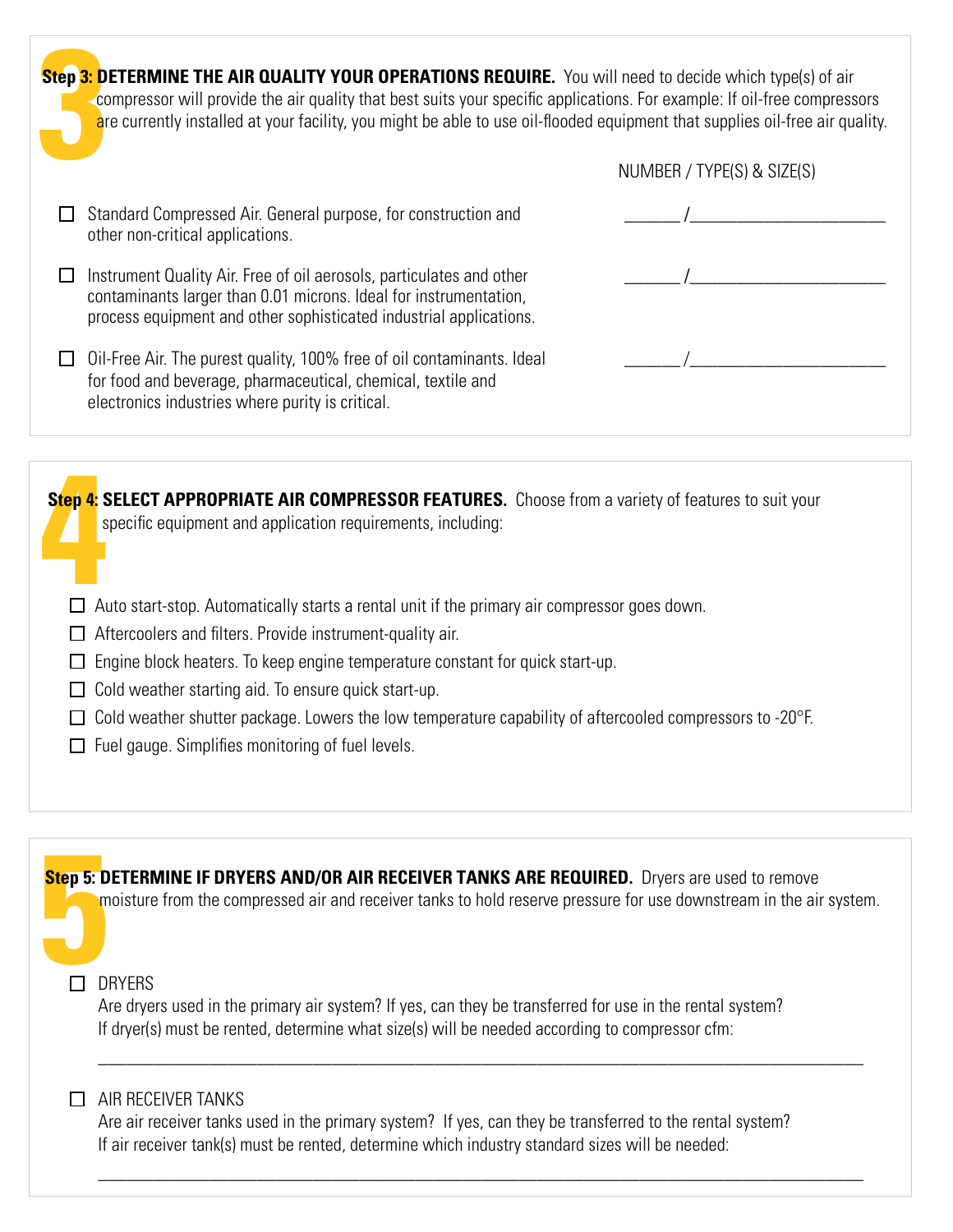| NUMBER / TYPE(S) & SIZE(S)                                                                                                                                                                                                                                                                                                                                          |  |  |  |  |
|---------------------------------------------------------------------------------------------------------------------------------------------------------------------------------------------------------------------------------------------------------------------------------------------------------------------------------------------------------------------|--|--|--|--|
|                                                                                                                                                                                                                                                                                                                                                                     |  |  |  |  |
| Standard Compressed Air. General purpose, for construction and<br>other non-critical applications.                                                                                                                                                                                                                                                                  |  |  |  |  |
| Instrument Quality Air. Free of oil aerosols, particulates and other<br>contaminants larger than 0.01 microns. Ideal for instrumentation,<br>process equipment and other sophisticated industrial applications.                                                                                                                                                     |  |  |  |  |
| Oil-Free Air. The purest quality, 100% free of oil contaminants. Ideal<br>for food and beverage, pharmaceutical, chemical, textile and<br>electronics industries where purity is critical.                                                                                                                                                                          |  |  |  |  |
|                                                                                                                                                                                                                                                                                                                                                                     |  |  |  |  |
| Step 4: SELECT APPROPRIATE AIR COMPRESSOR FEATURES. Choose from a variety of features to suit your<br>specific equipment and application requirements, including:<br>Auto start-stop. Automatically starts a rental unit if the primary air compressor goes down.                                                                                                   |  |  |  |  |
| Aftercoolers and filters. Provide instrument-quality air.<br>Engine block heaters. To keep engine temperature constant for quick start-up.<br>Cold weather starting aid. To ensure quick start-up.<br>Cold weather shutter package. Lowers the low temperature capability of aftercooled compressors to -20°F.<br>Fuel gauge. Simplifies monitoring of fuel levels. |  |  |  |  |
|                                                                                                                                                                                                                                                                                                                                                                     |  |  |  |  |
| <b>Step 5: DETERMINE IF DRYERS AND/OR AIR RECEIVER TANKS ARE REQUIRED.</b> Dryers are used to remove<br>moisture from the compressed air and receiver tanks to hold reserve pressure for use downstream in the air system.                                                                                                                                          |  |  |  |  |
| <b>DRYERS</b><br>Are dryers used in the primary air system? If yes, can they be transferred for use in the rental system?<br>If dryer(s) must be rented, determine what size(s) will be needed according to compressor cfm:                                                                                                                                         |  |  |  |  |
| AIR RECEIVER TANKS<br>ΙI<br>Are air receiver tanks used in the primary system? If yes, can they be transferred to the rental system?<br>If air receiver tank(s) must be rented, determine which industry standard sizes will be needed:                                                                                                                             |  |  |  |  |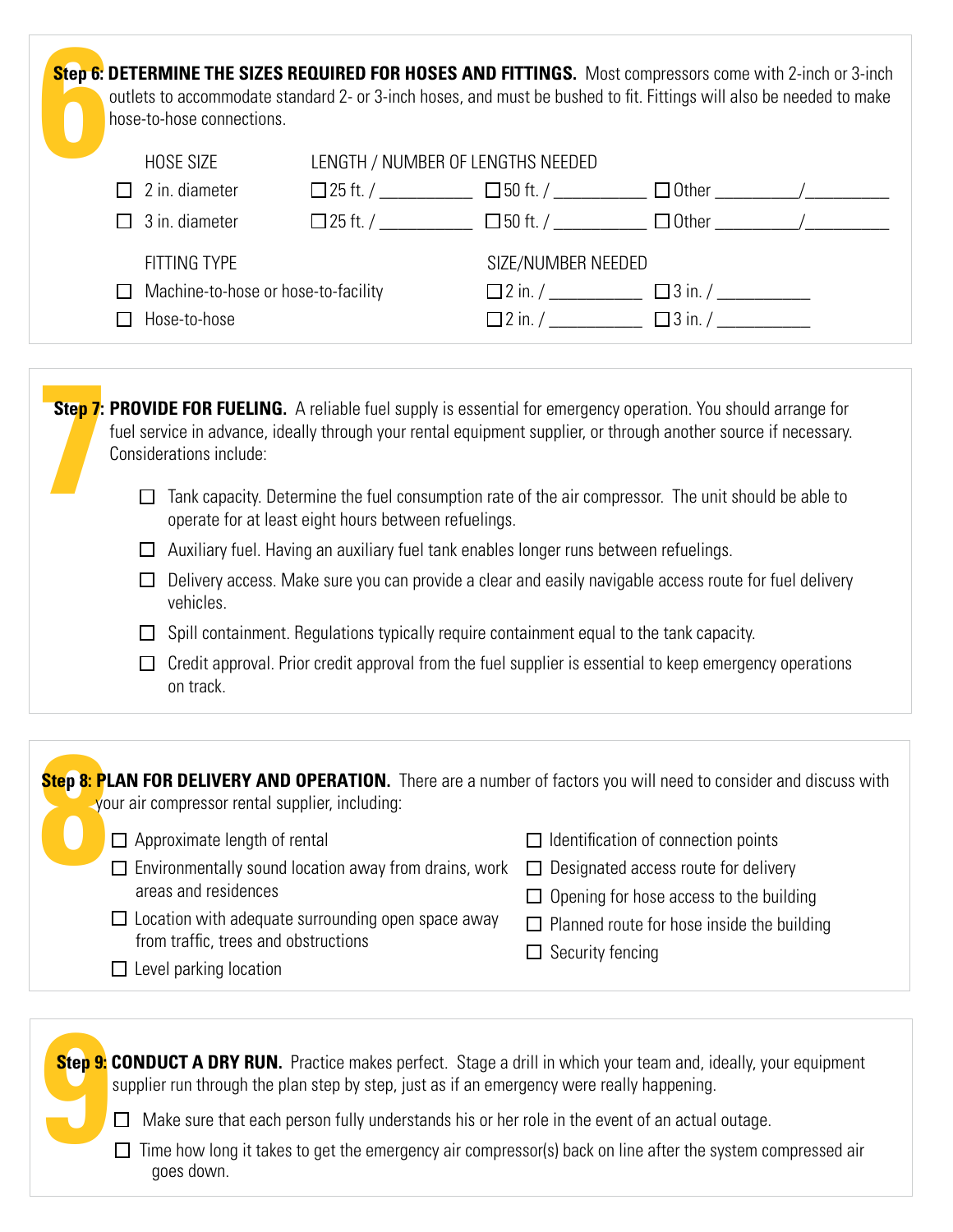| Step 6: DETERMINE THE SIZES REQUIRED FOR HOSES AND FITTINGS. Most compressors come with 2-inch or 3-inch<br>outlets to accommodate standard 2- or 3-inch hoses, and must be bushed to fit. Fittings will also be needed to make<br>hose-to-hose connections. |                     |                                             |                                                              |  |  |  |
|--------------------------------------------------------------------------------------------------------------------------------------------------------------------------------------------------------------------------------------------------------------|---------------------|---------------------------------------------|--------------------------------------------------------------|--|--|--|
|                                                                                                                                                                                                                                                              | HOSE SIZE           | LENGTH / NUMBER OF LENGTHS NEEDED           |                                                              |  |  |  |
|                                                                                                                                                                                                                                                              | 2 in. diameter      |                                             | $\Box$ 25 ft. / $\Box$ 50 ft. / $\Box$ $\Box$ Other $\Box$ / |  |  |  |
|                                                                                                                                                                                                                                                              | 3 in. diameter      |                                             | $\Box$ 25 ft. / $\Box$ 50 ft. / $\Box$ $\Box$ 0ther $\Box$ / |  |  |  |
|                                                                                                                                                                                                                                                              | <b>FITTING TYPE</b> |                                             | SIZE/NUMBER NEEDED                                           |  |  |  |
| Machine-to-hose or hose-to-facility<br>$\Box$                                                                                                                                                                                                                |                     | $\Box$ 2 in. / $\Box$ $\Box$ 3 in. / $\Box$ |                                                              |  |  |  |
|                                                                                                                                                                                                                                                              | Hose-to-hose        |                                             |                                                              |  |  |  |
|                                                                                                                                                                                                                                                              |                     |                                             |                                                              |  |  |  |



| Step 8: PLAN FOR DELIVERY AND OPERATION. There are a number of factors you will need to consider and discuss with                                                                                                                                                                                                                                                                                                                            | Identification of connection points               |
|----------------------------------------------------------------------------------------------------------------------------------------------------------------------------------------------------------------------------------------------------------------------------------------------------------------------------------------------------------------------------------------------------------------------------------------------|---------------------------------------------------|
| your air compressor rental supplier, including:                                                                                                                                                                                                                                                                                                                                                                                              | Designated access route for delivery              |
| $\Box$ Approximate length of rental                                                                                                                                                                                                                                                                                                                                                                                                          | $\perp$                                           |
| $\Box$ Environmentally sound location away from drains, work                                                                                                                                                                                                                                                                                                                                                                                 | Opening for hose access to the building           |
| areas and residences                                                                                                                                                                                                                                                                                                                                                                                                                         | $\mathsf{L}$                                      |
| $\Box$ Location with adequate surrounding open space away                                                                                                                                                                                                                                                                                                                                                                                    | $\Box$ Planned route for hose inside the building |
| from traffic, trees and obstructions                                                                                                                                                                                                                                                                                                                                                                                                         | Security fencing                                  |
| $\Box$ Level parking location                                                                                                                                                                                                                                                                                                                                                                                                                | l 1                                               |
| Step 9: CONDUCT A DRY RUN. Practice makes perfect. Stage a drill in which your team and, ideally, your equipment<br>supplier run through the plan step by step, just as if an emergency were really happening.<br>Make sure that each person fully understands his or her role in the event of an actual outage.<br>Time how long it takes to get the emergency air compressor(s) back on line after the system compressed air<br>anes down. |                                                   |

 $\Box$  Time how long it takes to get the emergency air compressor(s) back on line after the system compressed air goes down.